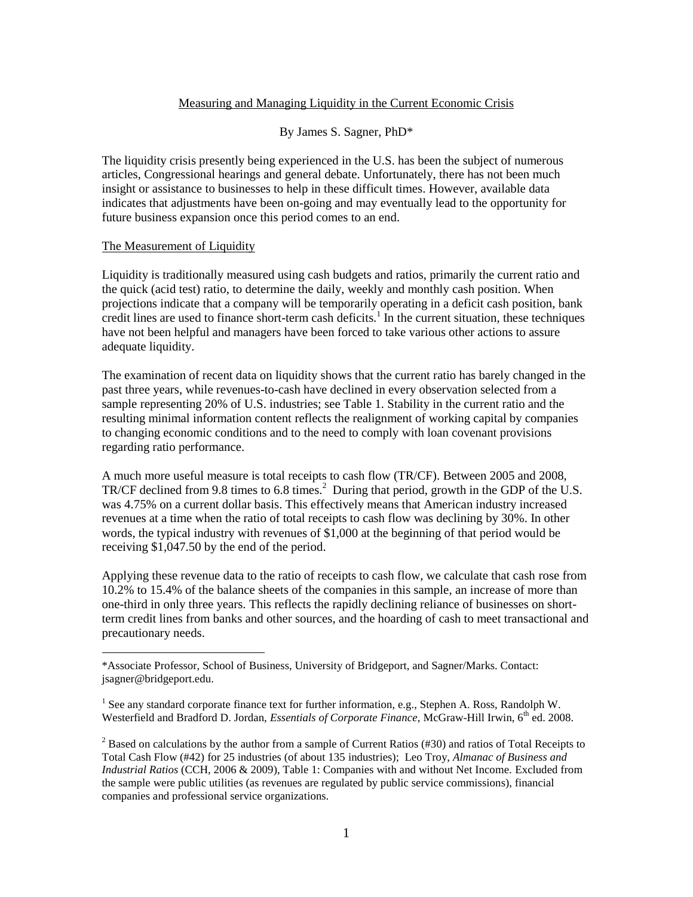## Measuring and Managing Liquidity in the Current Economic Crisis

#### By James S. Sagner, PhD\*

The liquidity crisis presently being experienced in the U.S. has been the subject of numerous articles, Congressional hearings and general debate. Unfortunately, there has not been much insight or assistance to businesses to help in these difficult times. However, available data indicates that adjustments have been on-going and may eventually lead to the opportunity for future business expansion once this period comes to an end.

#### The Measurement of Liquidity

 $\overline{a}$ 

Liquidity is traditionally measured using cash budgets and ratios, primarily the current ratio and the quick (acid test) ratio, to determine the daily, weekly and monthly cash position. When projections indicate that a company will be temporarily operating in a deficit cash position, bank credit lines are used to finance short-term cash deficits.<sup>1</sup> In the current situation, these techniques have not been helpful and managers have been forced to take various other actions to assure adequate liquidity.

The examination of recent data on liquidity shows that the current ratio has barely changed in the past three years, while revenues-to-cash have declined in every observation selected from a sample representing 20% of U.S. industries; see Table 1. Stability in the current ratio and the resulting minimal information content reflects the realignment of working capital by companies to changing economic conditions and to the need to comply with loan covenant provisions regarding ratio performance.

A much more useful measure is total receipts to cash flow (TR/CF). Between 2005 and 2008, TR/CF declined from 9.8 times to 6.8 times. $^2$  During that period, growth in the GDP of the U.S. was 4.75% on a current dollar basis. This effectively means that American industry increased revenues at a time when the ratio of total receipts to cash flow was declining by 30%. In other words, the typical industry with revenues of \$1,000 at the beginning of that period would be receiving \$1,047.50 by the end of the period.

Applying these revenue data to the ratio of receipts to cash flow, we calculate that cash rose from 10.2% to 15.4% of the balance sheets of the companies in this sample, an increase of more than one-third in only three years. This reflects the rapidly declining reliance of businesses on shortterm credit lines from banks and other sources, and the hoarding of cash to meet transactional and precautionary needs.

<sup>\*</sup>Associate Professor, School of Business, University of Bridgeport, and Sagner/Marks. Contact: jsagner@bridgeport.edu.

<sup>&</sup>lt;sup>1</sup> See any standard corporate finance text for further information, e.g., Stephen A. Ross, Randolph W. Westerfield and Bradford D. Jordan, *Essentials of Corporate Finance*, McGraw-Hill Irwin, 6<sup>th</sup> ed. 2008.

<sup>&</sup>lt;sup>2</sup> Based on calculations by the author from a sample of Current Ratios (#30) and ratios of Total Receipts to Total Cash Flow (#42) for 25 industries (of about 135 industries); Leo Troy, *Almanac of Business and Industrial Ratios* (CCH, 2006 & 2009), Table 1: Companies with and without Net Income. Excluded from the sample were public utilities (as revenues are regulated by public service commissions), financial companies and professional service organizations.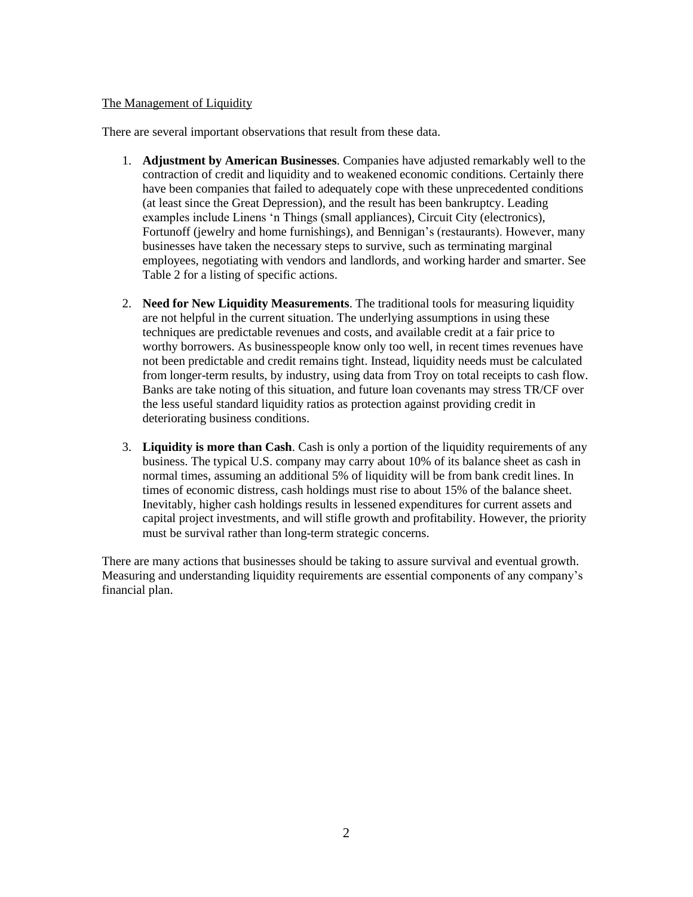## The Management of Liquidity

There are several important observations that result from these data.

- 1. **Adjustment by American Businesses**. Companies have adjusted remarkably well to the contraction of credit and liquidity and to weakened economic conditions. Certainly there have been companies that failed to adequately cope with these unprecedented conditions (at least since the Great Depression), and the result has been bankruptcy. Leading examples include Linens 'n Things (small appliances), Circuit City (electronics), Fortunoff (jewelry and home furnishings), and Bennigan's (restaurants). However, many businesses have taken the necessary steps to survive, such as terminating marginal employees, negotiating with vendors and landlords, and working harder and smarter. See Table 2 for a listing of specific actions.
- 2. **Need for New Liquidity Measurements**. The traditional tools for measuring liquidity are not helpful in the current situation. The underlying assumptions in using these techniques are predictable revenues and costs, and available credit at a fair price to worthy borrowers. As businesspeople know only too well, in recent times revenues have not been predictable and credit remains tight. Instead, liquidity needs must be calculated from longer-term results, by industry, using data from Troy on total receipts to cash flow. Banks are take noting of this situation, and future loan covenants may stress TR/CF over the less useful standard liquidity ratios as protection against providing credit in deteriorating business conditions.
- 3. **Liquidity is more than Cash**. Cash is only a portion of the liquidity requirements of any business. The typical U.S. company may carry about 10% of its balance sheet as cash in normal times, assuming an additional 5% of liquidity will be from bank credit lines. In times of economic distress, cash holdings must rise to about 15% of the balance sheet. Inevitably, higher cash holdings results in lessened expenditures for current assets and capital project investments, and will stifle growth and profitability. However, the priority must be survival rather than long-term strategic concerns.

There are many actions that businesses should be taking to assure survival and eventual growth. Measuring and understanding liquidity requirements are essential components of any company's financial plan.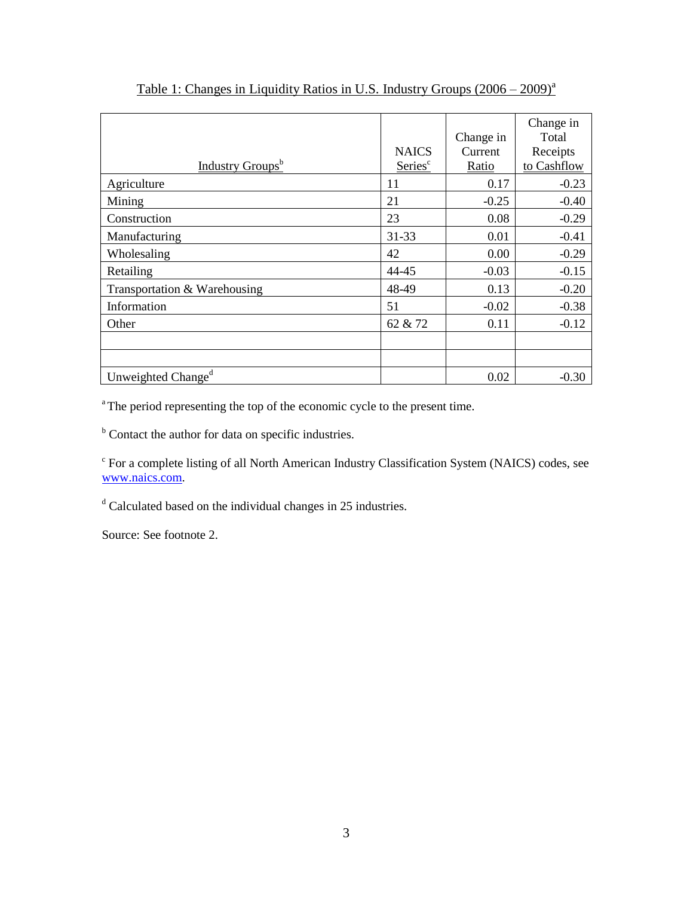|                                |                     | Change in | Change in<br>Total |
|--------------------------------|---------------------|-----------|--------------------|
|                                | <b>NAICS</b>        | Current   | Receipts           |
| Industry Groups <sup>b</sup>   | Series <sup>c</sup> | Ratio     | to Cashflow        |
| Agriculture                    | 11                  | 0.17      | $-0.23$            |
| Mining                         | 21                  | $-0.25$   | $-0.40$            |
| Construction                   | 23                  | 0.08      | $-0.29$            |
| Manufacturing                  | 31-33               | 0.01      | $-0.41$            |
| Wholesaling                    | 42                  | 0.00      | $-0.29$            |
| Retailing                      | 44-45               | $-0.03$   | $-0.15$            |
| Transportation & Warehousing   | 48-49               | 0.13      | $-0.20$            |
| Information                    | 51                  | $-0.02$   | $-0.38$            |
| Other                          | 62 & 72             | 0.11      | $-0.12$            |
|                                |                     |           |                    |
|                                |                     |           |                    |
| Unweighted Change <sup>d</sup> |                     | 0.02      | $-0.30$            |

# Table 1: Changes in Liquidity Ratios in U.S. Industry Groups  $(2006 - 2009)^{a}$

<sup>a</sup>The period representing the top of the economic cycle to the present time.

<sup>b</sup> Contact the author for data on specific industries.

<sup>c</sup> For a complete listing of all North American Industry Classification System (NAICS) codes, see [www.naics.com.](http://www.naics.com/)

 $d$  Calculated based on the individual changes in 25 industries.

Source: See footnote 2.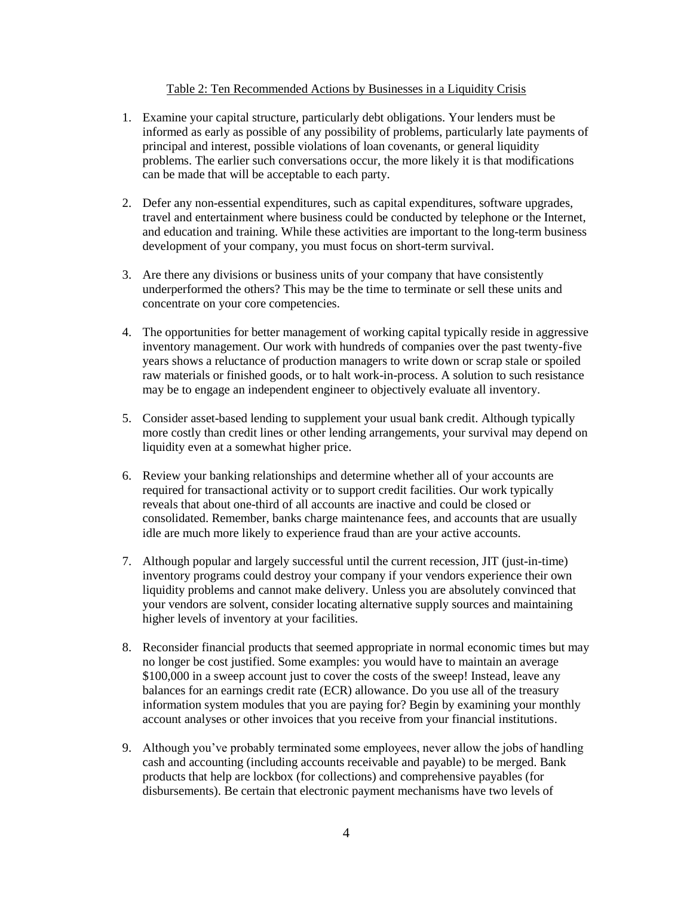### Table 2: Ten Recommended Actions by Businesses in a Liquidity Crisis

- 1. Examine your capital structure, particularly debt obligations. Your lenders must be informed as early as possible of any possibility of problems, particularly late payments of principal and interest, possible violations of loan covenants, or general liquidity problems. The earlier such conversations occur, the more likely it is that modifications can be made that will be acceptable to each party.
- 2. Defer any non-essential expenditures, such as capital expenditures, software upgrades, travel and entertainment where business could be conducted by telephone or the Internet, and education and training. While these activities are important to the long-term business development of your company, you must focus on short-term survival.
- 3. Are there any divisions or business units of your company that have consistently underperformed the others? This may be the time to terminate or sell these units and concentrate on your core competencies.
- 4. The opportunities for better management of working capital typically reside in aggressive inventory management. Our work with hundreds of companies over the past twenty-five years shows a reluctance of production managers to write down or scrap stale or spoiled raw materials or finished goods, or to halt work-in-process. A solution to such resistance may be to engage an independent engineer to objectively evaluate all inventory.
- 5. Consider asset-based lending to supplement your usual bank credit. Although typically more costly than credit lines or other lending arrangements, your survival may depend on liquidity even at a somewhat higher price.
- 6. Review your banking relationships and determine whether all of your accounts are required for transactional activity or to support credit facilities. Our work typically reveals that about one-third of all accounts are inactive and could be closed or consolidated. Remember, banks charge maintenance fees, and accounts that are usually idle are much more likely to experience fraud than are your active accounts.
- 7. Although popular and largely successful until the current recession, JIT (just-in-time) inventory programs could destroy your company if your vendors experience their own liquidity problems and cannot make delivery. Unless you are absolutely convinced that your vendors are solvent, consider locating alternative supply sources and maintaining higher levels of inventory at your facilities.
- 8. Reconsider financial products that seemed appropriate in normal economic times but may no longer be cost justified. Some examples: you would have to maintain an average \$100,000 in a sweep account just to cover the costs of the sweep! Instead, leave any balances for an earnings credit rate (ECR) allowance. Do you use all of the treasury information system modules that you are paying for? Begin by examining your monthly account analyses or other invoices that you receive from your financial institutions.
- 9. Although you've probably terminated some employees, never allow the jobs of handling cash and accounting (including accounts receivable and payable) to be merged. Bank products that help are lockbox (for collections) and comprehensive payables (for disbursements). Be certain that electronic payment mechanisms have two levels of